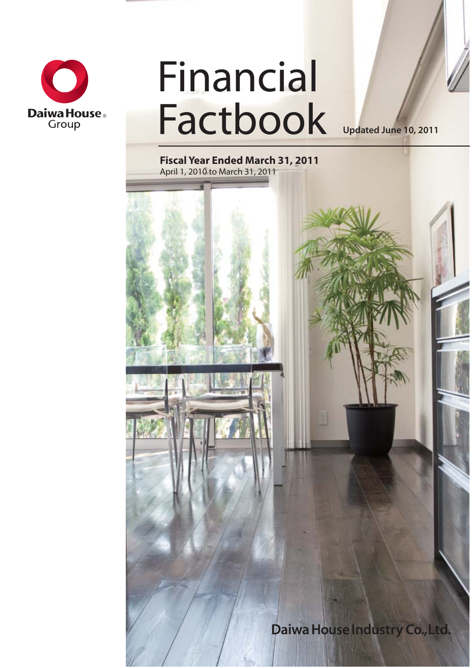

# Financial Factbook

**Updated June 10, 2011**

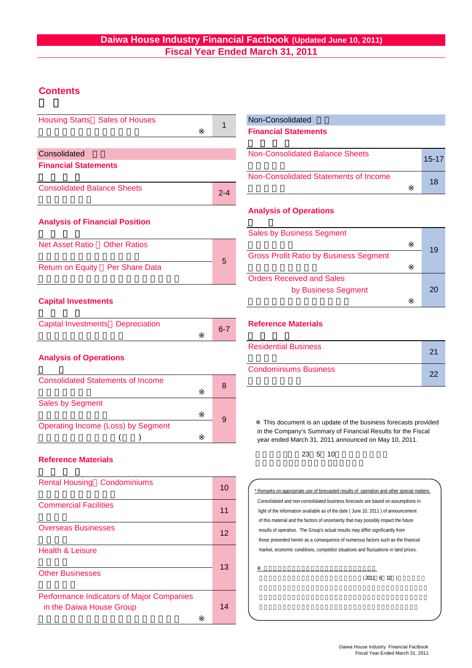# **Daiwa House Industry Financial Factbook (Updated June 10, 2011) Fiscal Year Ended March 31, 2011**

# **Contents**

Overseas Businesses

Health & Leisure

Other Businesses

in the Daiwa House Group

Performance Indicators of Major Companies

| <b>Housing Starts</b> Sales of Houses                                            | 1       | Non-Consolidated                                                                                                                                                                                                                                                                                                                           |          |  |  |  |
|----------------------------------------------------------------------------------|---------|--------------------------------------------------------------------------------------------------------------------------------------------------------------------------------------------------------------------------------------------------------------------------------------------------------------------------------------------|----------|--|--|--|
|                                                                                  |         | <b>Financial Statements</b>                                                                                                                                                                                                                                                                                                                |          |  |  |  |
| Consolidated                                                                     |         | <b>Non-Consolidated Balance Sheets</b>                                                                                                                                                                                                                                                                                                     | $15 - 1$ |  |  |  |
| <b>Financial Statements</b>                                                      |         | Non-Consolidated Statements of Income                                                                                                                                                                                                                                                                                                      |          |  |  |  |
| <b>Consolidated Balance Sheets</b>                                               | $2 - 4$ |                                                                                                                                                                                                                                                                                                                                            | 18       |  |  |  |
| <b>Analysis of Financial Position</b>                                            |         | <b>Analysis of Operations</b>                                                                                                                                                                                                                                                                                                              |          |  |  |  |
|                                                                                  |         | <b>Sales by Business Segment</b>                                                                                                                                                                                                                                                                                                           |          |  |  |  |
| <b>Net Asset Ratio</b><br><b>Other Ratios</b><br>Return on Equity Per Share Data | 5       | <b>Gross Profit Ratio by Business Segment</b>                                                                                                                                                                                                                                                                                              | 19       |  |  |  |
|                                                                                  |         | <b>Orders Received and Sales</b><br>by Business Segment                                                                                                                                                                                                                                                                                    | 20       |  |  |  |
| <b>Capital Investments</b><br><b>Capital Investments Depreciation</b>            | $6 - 7$ | <b>Reference Materials</b>                                                                                                                                                                                                                                                                                                                 |          |  |  |  |
| <b>Analysis of Operations</b>                                                    |         | <b>Residential Business</b>                                                                                                                                                                                                                                                                                                                | 21       |  |  |  |
|                                                                                  |         | <b>Condominiums Business</b>                                                                                                                                                                                                                                                                                                               | 22       |  |  |  |
| <b>Consolidated Statements of Income</b>                                         | 8       |                                                                                                                                                                                                                                                                                                                                            |          |  |  |  |
| <b>Sales by Segment</b><br>Operating Income (Loss) by Segment                    | 9       | This document is an update of the business forecasts provided<br>in the Company's Summary of Financial Results for the Fiscal                                                                                                                                                                                                              |          |  |  |  |
| <b>Reference Materials</b>                                                       |         | year ended March 31, 2011 announced on May 10, 2011.<br>23 5 10                                                                                                                                                                                                                                                                            |          |  |  |  |
| <b>Rental Housing Condominiums</b>                                               | 10      | * Remarks on appropriate use of forecasted results of operation and other special matters                                                                                                                                                                                                                                                  |          |  |  |  |
| <b>Commercial Facilities</b>                                                     | 11      | Consolidated and non-consolidated business forecasts are based on assumptions in<br>$E = \frac{1}{2}$ and $\frac{1}{2}$ are the contraction of the second state $\theta$ and $\theta$ and $\theta$ and $\theta$ are the contraction of the contract of the contract of the contract of the contract of the contract of the contract of the |          |  |  |  |

14

12 13 11 light of the information available as of the date ( June 10, 2011 ) of announcement of this material and the factors of uncertainty that may possibly impact the future results of operation. The Group's actual results may differ significantly from those presented herein as a consequence of numerous factors such as the financial market, economic conditions, competitor situations and fluctuations in land prices. ※ 業績予想の適切な利用に関する説明、その他特記事項

 $(2011 \t6 \t10)$ 

15-17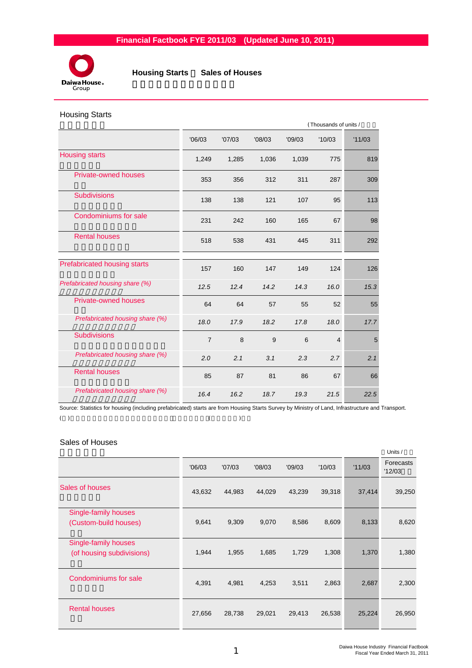

 **Housing Starts** / **Sales of Houses**

#### Housing Starts

|                                 |                |        |        | (Thousands of units / |                |        |  |  |  |
|---------------------------------|----------------|--------|--------|-----------------------|----------------|--------|--|--|--|
|                                 | '06/03         | '07/03 | '08/03 | '09/03                | '10/03         | '11/03 |  |  |  |
| <b>Housing starts</b>           | 1,249          | 1,285  | 1,036  | 1,039                 | 775            | 819    |  |  |  |
| <b>Private-owned houses</b>     | 353            | 356    | 312    | 311                   | 287            | 309    |  |  |  |
| <b>Subdivisions</b>             | 138            | 138    | 121    | 107                   | 95             | 113    |  |  |  |
| Condominiums for sale           | 231            | 242    | 160    | 165                   | 67             | 98     |  |  |  |
| <b>Rental houses</b>            | 518            | 538    | 431    | 445                   | 311            | 292    |  |  |  |
| Prefabricated housing starts    | 157            | 160    | 147    | 149                   | 124            | 126    |  |  |  |
| Prefabricated housing share (%) | 12.5           | 12.4   | 14.2   | 14.3                  | 16.0           | 15.3   |  |  |  |
| <b>Private-owned houses</b>     | 64             | 64     | 57     | 55                    | 52             | 55     |  |  |  |
| Prefabricated housing share (%) | 18.0           | 17.9   | 18.2   | 17.8                  | 18.0           | 17.7   |  |  |  |
| <b>Subdivisions</b>             | $\overline{7}$ | 8      | 9      | 6                     | $\overline{4}$ | 5      |  |  |  |
| Prefabricated housing share (%) | 2.0            | 2.1    | 3.1    | 2.3                   | 2.7            | 2.1    |  |  |  |
| <b>Rental houses</b>            | 85             | 87     | 81     | 86                    | 67             | 66     |  |  |  |
| Prefabricated housing share (%) | 16.4           | 16.2   | 18.7   | 19.3                  | 21.5           | 22.5   |  |  |  |

Source: Statistics for housing (including prefabricated) starts are from Housing Starts Survey by Ministry of Land, Infrastructure and Transport.  $(1)$ 

# Sales of Houses

|                           |        |        |        |        |        |        | Units /             |
|---------------------------|--------|--------|--------|--------|--------|--------|---------------------|
|                           | '06/03 | '07/03 | '08/03 | '09/03 | '10/03 | '11/03 | Forecasts<br>'12/03 |
| Sales of houses           | 43,632 | 44,983 | 44,029 | 43,239 | 39,318 | 37,414 | 39,250              |
| Single-family houses      |        |        |        |        |        |        |                     |
| (Custom-build houses)     | 9,641  | 9,309  | 9,070  | 8,586  | 8,609  | 8,133  | 8,620               |
| Single-family houses      |        |        |        |        |        |        |                     |
| (of housing subdivisions) | 1,944  | 1,955  | 1,685  | 1,729  | 1,308  | 1,370  | 1,380               |
| Condominiums for sale     | 4,391  | 4,981  | 4,253  | 3,511  | 2,863  | 2,687  | 2,300               |
|                           |        |        |        |        |        |        |                     |
| <b>Rental houses</b>      | 27,656 | 28,738 | 29,021 | 29,413 | 26,538 | 25,224 | 26,950              |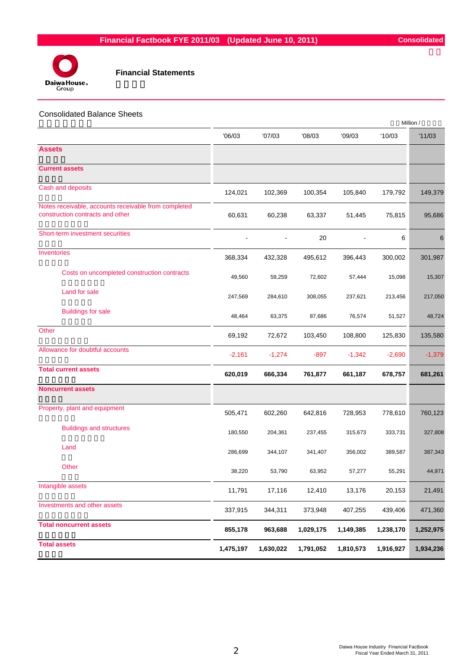

#### Consolidated Balance Sheets

|                                                                                          |           |           |           |           |           | Million / |
|------------------------------------------------------------------------------------------|-----------|-----------|-----------|-----------|-----------|-----------|
|                                                                                          | '06/03    | '07/03    | '08/03    | '09/03    | '10/03    | '11/03    |
| <b>Assets</b>                                                                            |           |           |           |           |           |           |
| <b>Current assets</b>                                                                    |           |           |           |           |           |           |
| Cash and deposits                                                                        | 124,021   | 102,369   | 100,354   | 105,840   | 179,792   | 149,379   |
| Notes receivable, accounts receivable from completed<br>construction contracts and other | 60,631    | 60,238    | 63,337    | 51,445    | 75,815    | 95,686    |
| Short-term investment securities                                                         |           |           | 20        |           | 6         | 6         |
| Inventories                                                                              | 368,334   | 432,328   | 495,612   | 396,443   | 300,002   | 301,987   |
| Costs on uncompleted construction contracts                                              | 49,560    | 59,259    | 72,602    | 57,444    | 15,098    | 15,307    |
| Land for sale                                                                            | 247,569   | 284,610   | 308,055   | 237,621   | 213,456   | 217,050   |
| <b>Buildings for sale</b>                                                                | 48,464    | 63,375    | 87,686    | 76,574    | 51,527    | 48,724    |
| Other                                                                                    | 69,192    | 72,672    | 103,450   | 108,800   | 125,830   | 135,580   |
| Allowance for doubtful accounts                                                          | $-2,161$  | $-1,274$  | $-897$    | $-1,342$  | $-2,690$  | $-1,379$  |
| <b>Total current assets</b>                                                              | 620,019   | 666,334   | 761,877   | 661,187   | 678,757   | 681,261   |
| <b>Noncurrent assets</b>                                                                 |           |           |           |           |           |           |
| Property, plant and equipment                                                            | 505,471   | 602,260   | 642,816   | 728,953   | 778,610   | 760,123   |
| <b>Buildings and structures</b>                                                          | 180,550   | 204,361   | 237,455   | 315,673   | 333,731   | 327,808   |
| Land                                                                                     | 286,699   | 344,107   | 341,407   | 356,002   | 389,587   | 387,343   |
| Other                                                                                    | 38,220    | 53,790    | 63,952    | 57,277    | 55,291    | 44,971    |
| Intangible assets                                                                        | 11,791    | 17,116    | 12,410    | 13,176    | 20,153    | 21,491    |
| Investments and other assets                                                             | 337,915   | 344,311   | 373,948   | 407,255   | 439,406   | 471,360   |
| <b>Total noncurrent assets</b>                                                           | 855,178   | 963,688   | 1,029,175 | 1,149,385 | 1,238,170 | 1,252,975 |
| <b>Total assets</b>                                                                      | 1,475,197 | 1,630,022 | 1,791,052 | 1,810,573 | 1,916,927 | 1,934,236 |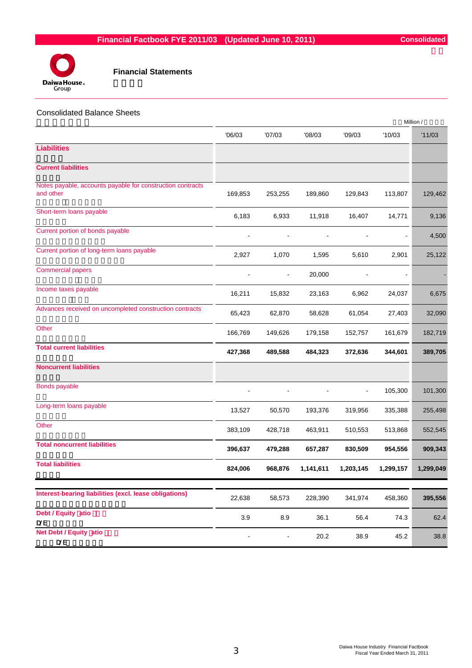

# Consolidated Balance Sheets

|                                                                         |                |         |                |           |           | Million / |
|-------------------------------------------------------------------------|----------------|---------|----------------|-----------|-----------|-----------|
|                                                                         | '06/03         | '07/03  | 08/03          | '09/03    | '10/03    | '11/03    |
| <b>Liabilities</b>                                                      |                |         |                |           |           |           |
| <b>Current liabilities</b>                                              |                |         |                |           |           |           |
| Notes payable, accounts payable for construction contracts<br>and other | 169,853        | 253,255 | 189,860        | 129,843   | 113,807   | 129,462   |
| Short-term loans payable                                                | 6,183          | 6,933   | 11,918         | 16,407    | 14,771    | 9,136     |
| Current portion of bonds payable                                        | $\blacksquare$ |         | $\blacksquare$ |           | ÷         | 4,500     |
| Current portion of long-term loans payable                              | 2,927          | 1,070   | 1,595          | 5,610     | 2,901     | 25,122    |
| <b>Commercial papers</b>                                                |                |         | 20,000         |           |           |           |
| Income taxes payable                                                    | 16,211         | 15,832  | 23,163         | 6,962     | 24,037    | 6,675     |
| Advances received on uncompleted construction contracts                 | 65,423         | 62,870  | 58,628         | 61,054    | 27,403    | 32,090    |
| Other                                                                   | 166,769        | 149,626 | 179,158        | 152,757   | 161,679   | 182,719   |
| <b>Total current liabilities</b>                                        | 427,368        | 489,588 | 484,323        | 372,636   | 344,601   | 389,705   |
| <b>Noncurrent liabilities</b>                                           |                |         |                |           |           |           |
| Bonds payable                                                           |                |         |                |           | 105,300   | 101,300   |
| Long-term loans payable                                                 | 13,527         | 50,570  | 193,376        | 319,956   | 335,388   | 255,498   |
| Other                                                                   | 383,109        | 428,718 | 463,911        | 510,553   | 513,868   | 552,545   |
| <b>Total noncurrent liabilities</b>                                     | 396,637        | 479,288 | 657,287        | 830,509   | 954,556   | 909,343   |
| <b>Total liabilities</b>                                                | 824,006        | 968,876 | 1,141,611      | 1,203,145 | 1,299,157 | 1,299,049 |
|                                                                         |                |         |                |           |           |           |
| Interest-bearing liabilities (excl. lease obligations)                  | 22,638         | 58,573  | 228,390        | 341,974   | 458,360   | 395,556   |
| Debt / Equity atio<br><b>D/E</b>                                        | 3.9            | 8.9     | 36.1           | 56.4      | 74.3      | 62.4      |
| Net Debt / Equity atio<br><b>D/E</b>                                    |                |         | 20.2           | 38.9      | 45.2      | 38.8      |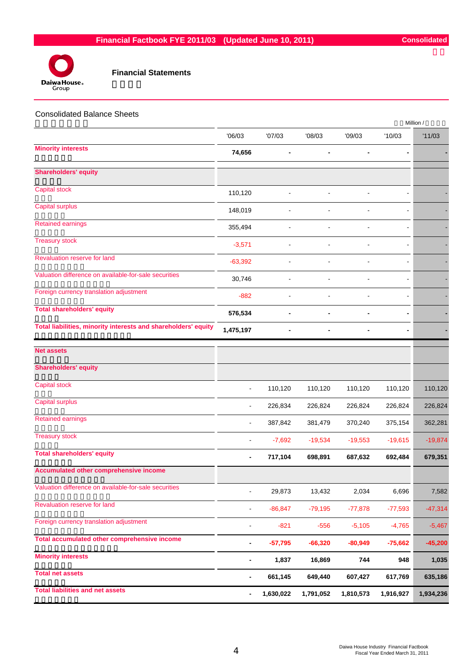

| <b>Consolidated Balance Sheets</b>                             |                              |                |                |           |                          | Million / |
|----------------------------------------------------------------|------------------------------|----------------|----------------|-----------|--------------------------|-----------|
|                                                                | '06/03                       | '07/03         | '08/03         | '09/03    | '10/03                   | '11/03    |
| <b>Minority interests</b>                                      | 74,656                       |                |                | ۰         | -                        |           |
| <b>Shareholders' equity</b>                                    |                              |                |                |           |                          |           |
| Capital stock                                                  | 110,120                      |                |                |           |                          |           |
| <b>Capital surplus</b>                                         | 148,019                      |                |                |           |                          |           |
| <b>Retained earnings</b>                                       | 355,494                      |                |                |           |                          |           |
| <b>Treasury stock</b>                                          | $-3,571$                     | $\blacksquare$ | $\blacksquare$ | ÷,        | $\overline{\phantom{a}}$ |           |
| Revaluation reserve for land                                   | $-63,392$                    | ä,             |                |           | $\blacksquare$           |           |
| Valuation difference on available-for-sale securities          | 30,746                       |                |                |           |                          |           |
| Foreign currency translation adjustment                        | $-882$                       |                |                |           |                          |           |
| <b>Total shareholders' equity</b>                              | 576,534                      | ۰              |                |           |                          |           |
| Total liabilities, minority interests and shareholders' equity | 1,475,197                    | -              | $\blacksquare$ | -         |                          |           |
| <b>Net assets</b>                                              |                              |                |                |           |                          |           |
| <b>Shareholders' equity</b>                                    |                              |                |                |           |                          |           |
| Capital stock                                                  | $\blacksquare$               | 110,120        | 110,120        | 110,120   | 110,120                  | 110,120   |
| <b>Capital surplus</b>                                         | $\blacksquare$               | 226,834        | 226,824        | 226,824   | 226,824                  | 226,824   |
| <b>Retained earnings</b>                                       | ä,                           | 387,842        | 381,479        | 370,240   | 375,154                  | 362,281   |
| <b>Treasury stock</b>                                          |                              | $-7,692$       | $-19,534$      | $-19,553$ | $-19,615$                | $-19,874$ |
| <b>Total shareholders' equity</b>                              |                              | 717,104        | 698,891        | 687,632   | 692,484                  | 679,351   |
| Accumulated other comprehensive income                         |                              |                |                |           |                          |           |
| Valuation difference on available-for-sale securities          |                              | 29,873         | 13,432         | 2,034     | 6,696                    | 7,582     |
| Revaluation reserve for land                                   | $\overline{a}$               | $-86, 847$     | $-79,195$      | $-77,878$ | $-77,593$                | $-47,314$ |
| Foreign currency translation adjustment                        | $\overline{\phantom{a}}$     | $-821$         | $-556$         | $-5,105$  | $-4,765$                 | $-5,467$  |
| Total accumulated other comprehensive income                   | $\qquad \qquad \blacksquare$ | $-57,795$      | $-66,320$      | $-80,949$ | $-75,662$                | $-45,200$ |
| <b>Minority interests</b>                                      | -                            | 1,837          | 16,869         | 744       | 948                      | 1,035     |
| <b>Total net assets</b>                                        | $\blacksquare$               | 661,145        | 649,440        | 607,427   | 617,769                  | 635,186   |
| <b>Total liabilities and net assets</b>                        | $\blacksquare$               | 1,630,022      | 1,791,052      | 1,810,573 | 1,916,927                | 1,934,236 |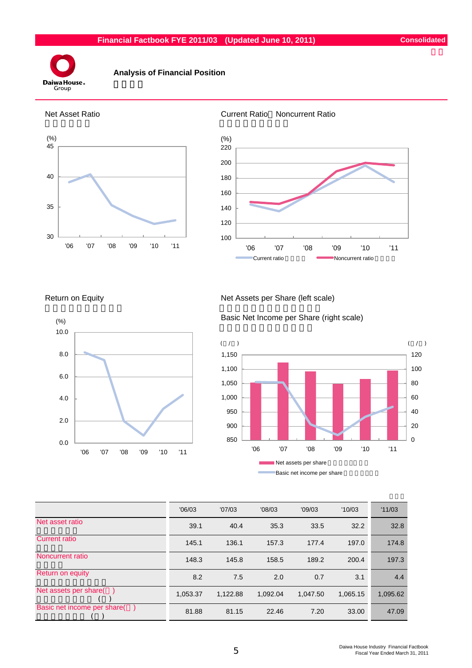

# **Analysis of Financial Position**









#### Return on Equity Net Assets per Share (left scale)

Basic Net Income per Share (right scale)



|                             | '06/03   | '07/03   | '08/03   | '09/03   | '10/03   | '11/03   |
|-----------------------------|----------|----------|----------|----------|----------|----------|
| Net asset ratio             | 39.1     | 40.4     | 35.3     | 33.5     | 32.2     | 32.8     |
| <b>Current ratio</b>        | 145.1    | 136.1    | 157.3    | 177.4    | 197.0    | 174.8    |
| Noncurrent ratio            | 148.3    | 145.8    | 158.5    | 189.2    | 200.4    | 197.3    |
| Return on equity            | 8.2      | 7.5      | 2.0      | 0.7      | 3.1      | 4.4      |
| Net assets per share(       | 1,053.37 | 1.122.88 | 1,092.04 | 1,047.50 | 1,065.15 | 1,095.62 |
| Basic net income per share( | 81.88    | 81.15    | 22.46    | 7.20     | 33.00    | 47.09    |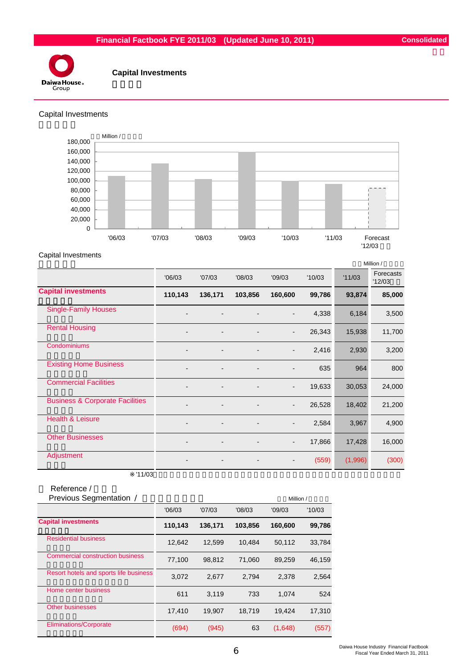

# **Capital Investments**

#### Capital Investments



#### Capital Investments

|                          |         |         |                          |        |         | Million /           |
|--------------------------|---------|---------|--------------------------|--------|---------|---------------------|
| '06/03                   | '07/03  | '08/03  | '09/03                   | '10/03 | '11/03  | Forecasts<br>'12/03 |
| 110,143                  | 136,171 | 103,856 | 160,600                  | 99,786 |         | 85,000              |
| $\blacksquare$           |         |         | $\overline{a}$           | 4,338  | 6,184   | 3,500               |
| $\overline{\phantom{a}}$ |         |         | $\overline{\phantom{a}}$ | 26,343 | 15,938  | 11,700              |
|                          |         |         | $\overline{a}$           | 2,416  | 2,930   | 3,200               |
| $\overline{\phantom{a}}$ |         | -       | $\overline{\phantom{a}}$ | 635    | 964     | 800                 |
| $\overline{\phantom{0}}$ |         |         | $\overline{\phantom{a}}$ | 19,633 | 30,053  | 24,000              |
| $\overline{\phantom{a}}$ |         |         | $\overline{\phantom{a}}$ | 26,528 |         | 21,200              |
| $\overline{\phantom{a}}$ |         |         | $\overline{\phantom{a}}$ | 2,584  | 3,967   | 4,900               |
| $\blacksquare$           |         |         | $\overline{\phantom{a}}$ | 17,866 | 17,428  | 16,000              |
|                          |         |         | $\overline{\phantom{a}}$ | (559)  | (1,996) | (300)               |
|                          |         |         |                          |        |         | 93,874<br>18,402    |

 $'11/03$ 

# Reference /<br>Previous Segmentatie

| Previous Segmentation /                 |         |         |         | Million / |        |
|-----------------------------------------|---------|---------|---------|-----------|--------|
|                                         | '06/03  | '07/03  | '08/03  | '09/03    | '10/03 |
| <b>Capital investments</b>              | 110,143 | 136,171 | 103,856 | 160,600   | 99,786 |
| <b>Residential business</b>             | 12.642  | 12.599  | 10.484  | 50,112    | 33,784 |
| <b>Commercial construction business</b> | 77,100  | 98,812  | 71,060  | 89,259    | 46,159 |
| Resort hotels and sports life business  | 3,072   | 2,677   | 2,794   | 2.378     | 2,564  |
| Home center business                    | 611     | 3,119   | 733     | 1,074     | 524    |
| <b>Other businesses</b>                 | 17,410  | 19,907  | 18.719  | 19,424    | 17,310 |
| <b>Eliminations/Corporate</b>           | (694)   | (945)   | 63      | (1,648)   | (557)  |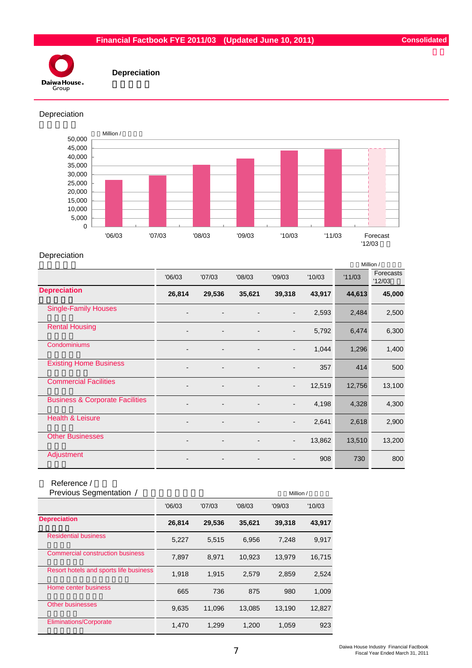

 **Depreciation**

#### Depreciation



#### Depreciation

|                                            |                          |        |                          |                          |        |        | Million /           |
|--------------------------------------------|--------------------------|--------|--------------------------|--------------------------|--------|--------|---------------------|
|                                            | '06/03                   | '07/03 | '08/03                   | '09/03                   | '10/03 | '11/03 | Forecasts<br>'12/03 |
| <b>Depreciation</b>                        | 26,814                   | 29,536 | 35,621                   | 39,318                   | 43,917 | 44,613 | 45,000              |
| <b>Single-Family Houses</b>                |                          |        |                          | $\overline{\phantom{a}}$ | 2,593  | 2,484  | 2,500               |
| <b>Rental Housing</b>                      | $\overline{\phantom{0}}$ |        |                          | $\overline{\phantom{a}}$ | 5,792  | 6,474  | 6,300               |
| Condominiums                               |                          |        |                          |                          | 1,044  | 1,296  | 1,400               |
| <b>Existing Home Business</b>              | $\overline{\phantom{0}}$ |        |                          | $\overline{a}$           | 357    | 414    | 500                 |
| <b>Commercial Facilities</b>               | $\overline{\phantom{a}}$ |        | -                        | $\overline{\phantom{a}}$ | 12,519 | 12,756 | 13,100              |
| <b>Business &amp; Corporate Facilities</b> |                          |        |                          | $\overline{\phantom{0}}$ | 4,198  | 4,328  | 4,300               |
| <b>Health &amp; Leisure</b>                | $\overline{\phantom{0}}$ |        |                          | $\overline{\phantom{a}}$ | 2,641  | 2,618  | 2,900               |
| <b>Other Businesses</b>                    | $\overline{\phantom{a}}$ |        | $\overline{\phantom{a}}$ | $\overline{\phantom{a}}$ | 13,862 | 13,510 | 13,200              |
| Adjustment                                 |                          |        |                          |                          | 908    | 730    | 800                 |

# Reference /

| Previous Segmentation /                |        |        |        | Million / |        |
|----------------------------------------|--------|--------|--------|-----------|--------|
|                                        | '06/03 | '07/03 | '08/03 | '09/03    | '10/03 |
| <b>Depreciation</b>                    | 26,814 | 29,536 | 35,621 | 39,318    | 43,917 |
| <b>Residential business</b>            | 5,227  | 5.515  | 6,956  | 7.248     | 9,917  |
| Commercial construction business       | 7,897  | 8.971  | 10,923 | 13.979    | 16,715 |
| Resort hotels and sports life business | 1,918  | 1.915  | 2,579  | 2,859     | 2,524  |
| Home center business                   | 665    | 736    | 875    | 980       | 1,009  |
| <b>Other businesses</b>                | 9,635  | 11.096 | 13.085 | 13,190    | 12,827 |
| Eliminations/Corporate                 | 1,470  | 1.299  | 1.200  | 1,059     | 923    |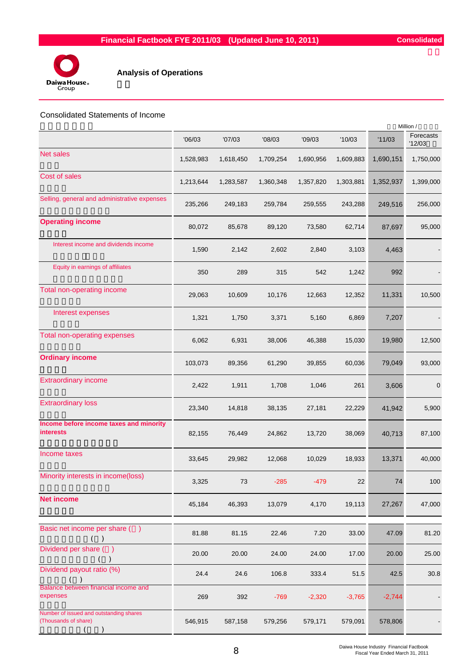

# **Analysis of Operations**

### Consolidated Statements of Income

|                                                                 |           |           |           |           |           |           | Million /           |
|-----------------------------------------------------------------|-----------|-----------|-----------|-----------|-----------|-----------|---------------------|
|                                                                 | '06/03    | '07/03    | '08/03    | '09/03    | '10/03    | '11/03    | Forecasts<br>'12/03 |
| <b>Net sales</b>                                                | 1,528,983 | 1,618,450 | 1,709,254 | 1,690,956 | 1,609,883 | 1,690,151 | 1,750,000           |
| Cost of sales                                                   | 1,213,644 | 1,283,587 | 1,360,348 | 1,357,820 | 1,303,881 | 1,352,937 | 1,399,000           |
| Selling, general and administrative expenses                    | 235,266   | 249,183   | 259,784   | 259,555   | 243,288   | 249,516   | 256,000             |
| <b>Operating income</b>                                         | 80,072    | 85,678    | 89,120    | 73,580    | 62,714    | 87,697    | 95,000              |
| Interest income and dividends income                            | 1,590     | 2,142     | 2,602     | 2,840     | 3,103     | 4,463     |                     |
| Equity in earnings of affiliates                                | 350       | 289       | 315       | 542       | 1,242     | 992       |                     |
| Total non-operating income                                      | 29,063    | 10,609    | 10,176    | 12,663    | 12,352    | 11,331    | 10,500              |
| Interest expenses                                               | 1,321     | 1,750     | 3,371     | 5,160     | 6,869     | 7,207     |                     |
| Total non-operating expenses                                    | 6,062     | 6,931     | 38,006    | 46,388    | 15,030    | 19,980    | 12,500              |
| <b>Ordinary income</b>                                          | 103,073   | 89,356    | 61,290    | 39,855    | 60,036    | 79,049    | 93,000              |
| <b>Extraordinary income</b>                                     | 2,422     | 1,911     | 1,708     | 1,046     | 261       | 3,606     | $\mathbf 0$         |
| <b>Extraordinary loss</b>                                       | 23,340    | 14,818    | 38,135    | 27,181    | 22,229    | 41,942    | 5,900               |
| Income before income taxes and minority<br><b>interests</b>     | 82,155    | 76,449    | 24,862    | 13,720    | 38,069    | 40,713    | 87,100              |
| Income taxes                                                    | 33,645    | 29,982    | 12,068    | 10,029    | 18,933    | 13,371    | 40,000              |
| Minority interests in income(loss)                              | 3,325     | 73        | $-285$    | $-479$    | 22        | 74        | 100                 |
| <b>Net income</b>                                               | 45,184    | 46,393    | 13,079    | 4,170     | 19,113    | 27,267    | 47,000              |
| Basic net income per share ()                                   | 81.88     | 81.15     | 22.46     | 7.20      | 33.00     | 47.09     | 81.20               |
| Dividend per share ()                                           | 20.00     | 20.00     | 24.00     | 24.00     | 17.00     | 20.00     | 25.00               |
| Dividend payout ratio (%)                                       | 24.4      | 24.6      | 106.8     | 333.4     | 51.5      | 42.5      | 30.8                |
| Balance between financial income and<br>expenses                | 269       | 392       | $-769$    | $-2,320$  | $-3,765$  | $-2,744$  |                     |
| Number of issued and outstanding shares<br>(Thousands of share) | 546,915   | 587,158   | 579,256   | 579,171   | 579,091   | 578,806   |                     |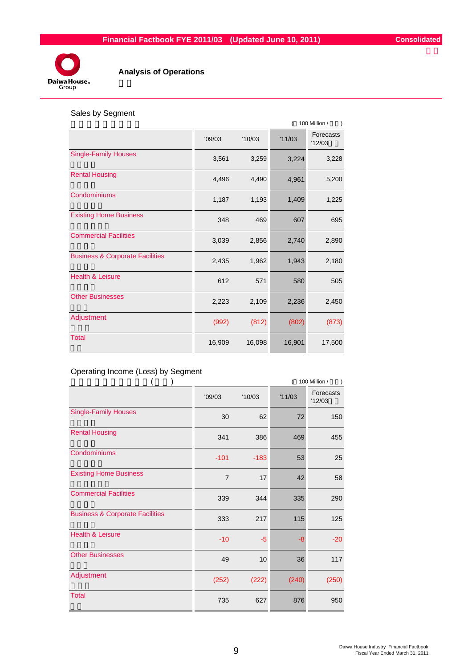

# **Analysis of Operations**

# Sales by Segment

|                                            |        |        | 100 Million / |                     |  |
|--------------------------------------------|--------|--------|---------------|---------------------|--|
|                                            | '09/03 | '10/03 | '11/03        | Forecasts<br>'12/03 |  |
| <b>Single-Family Houses</b>                | 3,561  | 3,259  | 3,224         | 3,228               |  |
| <b>Rental Housing</b>                      | 4,496  | 4,490  | 4,961         | 5,200               |  |
| Condominiums                               | 1,187  | 1,193  | 1,409         | 1,225               |  |
| <b>Existing Home Business</b>              | 348    | 469    | 607           | 695                 |  |
| <b>Commercial Facilities</b>               | 3,039  | 2,856  | 2,740         | 2,890               |  |
| <b>Business &amp; Corporate Facilities</b> | 2,435  | 1,962  | 1,943         | 2,180               |  |
| <b>Health &amp; Leisure</b>                | 612    | 571    | 580           | 505                 |  |
| <b>Other Businesses</b>                    | 2,223  | 2,109  | 2,236         | 2,450               |  |
| Adjustment                                 | (992)  | (812)  | (802)         | (873)               |  |
| <b>Total</b>                               | 16,909 | 16,098 | 16,901        | 17,500              |  |

# Operating Income (Loss) by Segment

|                                            |                |        | 100 Million / |                     |  |
|--------------------------------------------|----------------|--------|---------------|---------------------|--|
|                                            | '09/03         | '10/03 | '11/03        | Forecasts<br>'12/03 |  |
| <b>Single-Family Houses</b>                | 30             | 62     | 72            | 150                 |  |
| <b>Rental Housing</b>                      | 341            | 386    | 469           | 455                 |  |
| Condominiums                               | $-101$         | $-183$ | 53            | 25                  |  |
| <b>Existing Home Business</b>              | $\overline{7}$ | 17     | 42            | 58                  |  |
| <b>Commercial Facilities</b>               | 339            | 344    | 335           | 290                 |  |
| <b>Business &amp; Corporate Facilities</b> | 333            | 217    | 115           | 125                 |  |
| <b>Health &amp; Leisure</b>                | $-10$          | $-5$   | -8            | $-20$               |  |
| <b>Other Businesses</b>                    | 49             | 10     | 36            | 117                 |  |
| Adjustment                                 | (252)          | (222)  | (240)         | (250)               |  |
| <b>Total</b>                               | 735            | 627    | 876           | 950                 |  |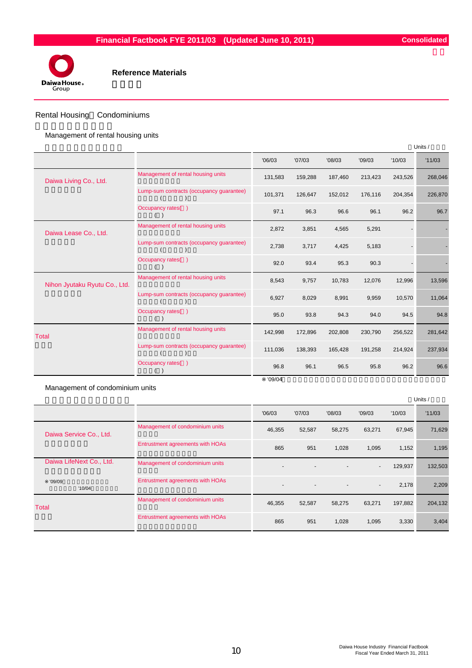



#### Rental Housing Condominiums

Management of rental housing units

|                               |                                          |         |         |         |         |         | Units / |
|-------------------------------|------------------------------------------|---------|---------|---------|---------|---------|---------|
|                               |                                          | '06/03  | '07/03  | '08/03  | '09/03  | '10/03  | '11/03  |
| Daiwa Living Co., Ltd.        | Management of rental housing units       | 131,583 | 159,288 | 187,460 | 213,423 | 243,526 | 268,046 |
|                               | Lump-sum contracts (occupancy guarantee) | 101,371 | 126,647 | 152,012 | 176,116 | 204,354 | 226,870 |
|                               | Occupancy rates()                        | 97.1    | 96.3    | 96.6    | 96.1    | 96.2    | 96.7    |
| Daiwa Lease Co., Ltd.         | Management of rental housing units       | 2,872   | 3,851   | 4,565   | 5,291   |         |         |
|                               | Lump-sum contracts (occupancy guarantee) | 2,738   | 3,717   | 4,425   | 5,183   |         |         |
|                               | Occupancy rates()                        | 92.0    | 93.4    | 95.3    | 90.3    |         |         |
| Nihon Jyutaku Ryutu Co., Ltd. | Management of rental housing units       | 8,543   | 9,757   | 10,783  | 12,076  | 12,996  | 13,596  |
|                               | Lump-sum contracts (occupancy guarantee) | 6,927   | 8,029   | 8,991   | 9,959   | 10,570  | 11,064  |
|                               | Occupancy rates()                        | 95.0    | 93.8    | 94.3    | 94.0    | 94.5    | 94.8    |
| <b>Total</b>                  | Management of rental housing units       | 142,998 | 172,896 | 202,808 | 230,790 | 256,522 | 281,642 |
|                               | Lump-sum contracts (occupancy guarantee) | 111,036 | 138,393 | 165,428 | 191,258 | 214,924 | 237,934 |
|                               | Occupancy rates()                        | 96.8    | 96.1    | 96.5    | 95.8    | 96.2    | 96.6    |
|                               |                                          | '09/04  |         |         |         |         |         |

Management of condominium units

|                          |                                  |                          |                          |        |                          |         | Units / |
|--------------------------|----------------------------------|--------------------------|--------------------------|--------|--------------------------|---------|---------|
|                          |                                  | '06/03                   | '07/03                   | '08/03 | '09/03                   | '10/03  | '11/03  |
| Daiwa Service Co., Ltd.  | Management of condominium units  | 46,355                   | 52,587                   | 58,275 | 63,271                   | 67,945  | 71,629  |
|                          | Entrustment agreements with HOAs | 865                      | 951                      | 1,028  | 1,095                    | 1,152   | 1,195   |
| Daiwa LifeNext Co., Ltd. | Management of condominium units  |                          |                          |        | $\blacksquare$           | 129,937 | 132,503 |
| '09/09<br>'10/04         | Entrustment agreements with HOAs | $\overline{\phantom{a}}$ | $\overline{\phantom{a}}$ |        | $\overline{\phantom{a}}$ | 2,178   | 2,209   |
| <b>Total</b>             | Management of condominium units  | 46,355                   | 52,587                   | 58,275 | 63,271                   | 197,882 | 204,132 |
|                          | Entrustment agreements with HOAs | 865                      | 951                      | 1,028  | 1,095                    | 3,330   | 3,404   |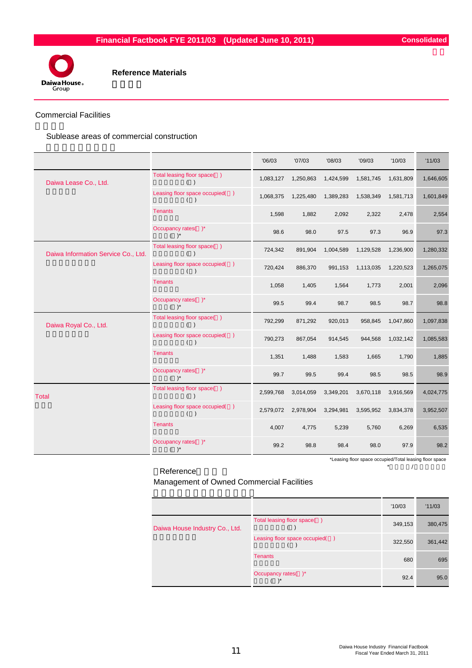

#### Commercial Facilities

Sublease areas of commercial construction

|                                     |                                       | '06/03    | '07/03    | '08/03    | '09/03    | '10/03    | '11/03    |
|-------------------------------------|---------------------------------------|-----------|-----------|-----------|-----------|-----------|-----------|
| Daiwa Lease Co., Ltd.               | Total leasing floor space()<br>( )    | 1,083,127 | 1,250,863 | 1,424,599 | 1,581,745 | 1,631,809 | 1,646,605 |
|                                     | Leasing floor space occupied()<br>( ) | 1,068,375 | 1,225,480 | 1,389,283 | 1,538,349 | 1,581,713 | 1,601,849 |
|                                     | <b>Tenants</b>                        | 1,598     | 1,882     | 2,092     | 2,322     | 2,478     | 2,554     |
|                                     | Occupancy rates()*<br>$( )^*$         | 98.6      | 98.0      | 97.5      | 97.3      | 96.9      | 97.3      |
| Daiwa Information Service Co., Ltd. | Total leasing floor space()<br>$($ )  | 724,342   | 891,904   | 1,004,589 | 1,129,528 | 1,236,900 | 1,280,332 |
|                                     | Leasing floor space occupied()<br>( ) | 720,424   | 886,370   | 991,153   | 1,113,035 | 1,220,523 | 1,265,075 |
|                                     | <b>Tenants</b>                        | 1,058     | 1,405     | 1,564     | 1,773     | 2,001     | 2,096     |
|                                     | Occupancy rates()*<br>$( )^*$         | 99.5      | 99.4      | 98.7      | 98.5      | 98.7      | 98.8      |
| Daiwa Royal Co., Ltd.               | Total leasing floor space()<br>( )    | 792,299   | 871,292   | 920,013   | 958,845   | 1,047,860 | 1,097,838 |
|                                     | Leasing floor space occupied()<br>( ) | 790,273   | 867,054   | 914,545   | 944,568   | 1,032,142 | 1,085,583 |
|                                     | <b>Tenants</b>                        | 1,351     | 1,488     | 1,583     | 1,665     | 1,790     | 1,885     |
|                                     | Occupancy rates()*<br>$( )^*$         | 99.7      | 99.5      | 99.4      | 98.5      | 98.5      | 98.9      |
| <b>Total</b>                        | Total leasing floor space()<br>( )    | 2,599,768 | 3,014,059 | 3,349,201 | 3,670,118 | 3,916,569 | 4,024,775 |
|                                     | Leasing floor space occupied()<br>( ) | 2,579,072 | 2,978,904 | 3,294,981 | 3,595,952 | 3,834,378 | 3,952,507 |
|                                     | <b>Tenants</b>                        | 4,007     | 4,775     | 5,239     | 5,760     | 6,269     | 6,535     |
|                                     | Occupancy rates()*<br>$( )^*$         | 99.2      | 98.8      | 98.4      | 98.0      | 97.9      | 98.2      |

\*Leasing floor space occupied/Total leasing floor space

Reference \*  $\qquad \qquad \wedge$ 

Management of Owned Commercial Facilities

|                                |                                | '10/03  | '11/03  |
|--------------------------------|--------------------------------|---------|---------|
| Daiwa House Industry Co., Ltd. | Total leasing floor space()    | 349,153 | 380,475 |
|                                | Leasing floor space occupied() | 322,550 | 361,442 |
|                                | <b>Tenants</b>                 | 680     | 695     |
|                                | Occupancy rates()*             | 92.4    | 95.0    |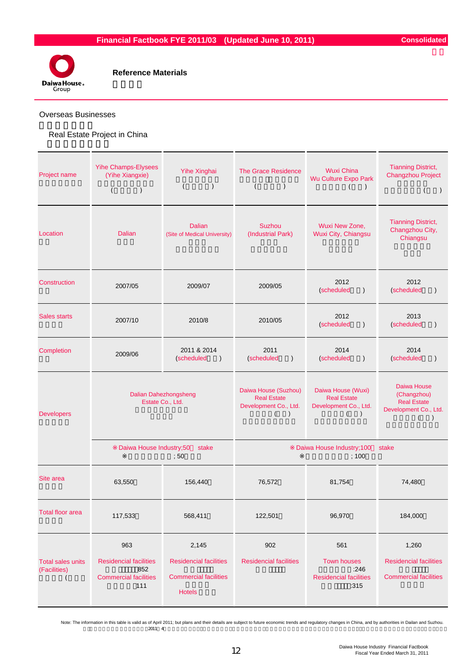

#### Overseas Businesses

# Real Estate Project in China

| Project name                             | <b>Yihe Champs-Elysees</b><br>(Yihe Xiangxie)<br>$\overline{ }$<br>$\mathcal{C}$   | Yihe Xinghai<br>$\lambda$<br>$\left($                                                   | <b>The Grace Residence</b><br>$\left($<br>$\mathcal{E}$                                            | <b>Wuxi China</b><br>Wu Culture Expo Park<br>$\lambda$                         | <b>Tianning District,</b><br><b>Changzhou Project</b><br>$\left($<br>$\lambda$         |
|------------------------------------------|------------------------------------------------------------------------------------|-----------------------------------------------------------------------------------------|----------------------------------------------------------------------------------------------------|--------------------------------------------------------------------------------|----------------------------------------------------------------------------------------|
| Location                                 | <b>Dalian</b>                                                                      | <b>Dalian</b><br>(Site of Medical University)                                           | Suzhou<br>(Industrial Park)                                                                        | Wuxi New Zone,<br>Wuxi City, Chiangsu                                          | <b>Tianning District,</b><br>Changzhou City,<br>Chiangsu                               |
| Construction                             | 2007/05                                                                            | 2009/07                                                                                 | 2009/05                                                                                            | 2012<br>(scheduled<br>$\lambda$                                                | 2012<br>(scheduled<br>$\lambda$                                                        |
| <b>Sales starts</b>                      | 2007/10                                                                            | 2010/8                                                                                  | 2010/05                                                                                            | 2012<br>(scheduled<br>$\lambda$                                                | 2013<br>(scheduled<br>$\lambda$                                                        |
| Completion                               | 2009/06                                                                            | 2011 & 2014<br>(scheduled<br>$\lambda$                                                  | 2011<br>(scheduled<br>$\lambda$                                                                    | 2014<br>(scheduled<br>$\lambda$                                                | 2014<br>(scheduled<br>$\mathcal{E}$                                                    |
| <b>Developers</b>                        | <b>Dalian Dahezhongsheng</b><br>Estate Co., Ltd.                                   |                                                                                         | Daiwa House (Suzhou)<br><b>Real Estate</b><br>Development Co., Ltd.<br>$\lambda$<br>$\overline{ }$ | Daiwa House (Wuxi)<br><b>Real Estate</b><br>Development Co., Ltd.<br>$\lambda$ | Daiwa House<br>(Changzhou)<br><b>Real Estate</b><br>Development Co., Ltd.<br>$\lambda$ |
|                                          | Daiwa House Industry;50                                                            | stake<br>;50                                                                            |                                                                                                    | Daiwa House Industry; 100<br>;100                                              | stake                                                                                  |
| Site area                                | 63,550                                                                             | 156,440                                                                                 | 76,572                                                                                             | 81,754                                                                         | 74,480                                                                                 |
| <b>Total floor area</b>                  | 117,533                                                                            | 568,411                                                                                 | 122,501                                                                                            | 96,970                                                                         | 184,000                                                                                |
| <b>Total sales units</b><br>(Facilities) | 963<br><b>Residencial facilities</b><br>852<br><b>Commercial facilities</b><br>111 | 2,145<br><b>Residencial facilities</b><br><b>Commercial facilities</b><br><b>Hotels</b> | 902<br><b>Residencial facilities</b>                                                               | 561<br><b>Town houses</b><br>:246<br><b>Residencial facilities</b><br>:315     | 1,260<br><b>Residencial facilities</b><br><b>Commercial facilities</b>                 |

 $2011$  4 Note: The information in this table is valid as of April 2011; but plans and their details are subject to future economic trends and regulatory changes in China, and by authorities in Dailan and Suzhou.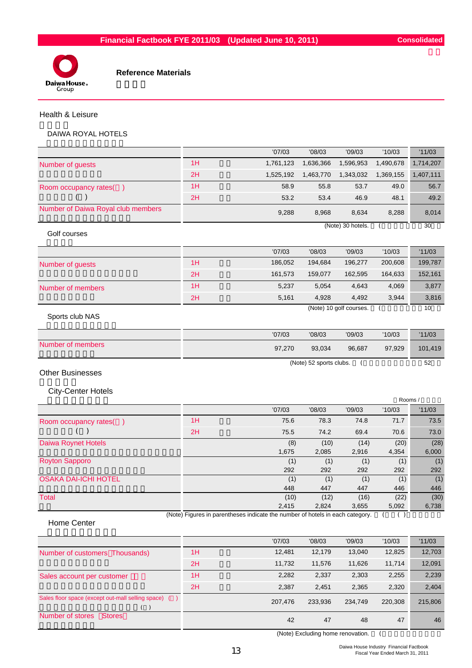

#### Health & Leisure

# DAIWA ROYAL HOTELS

|                                    |    | '07/03                                                                        | '08/03                  | '09/03                  | '10/03        | '11/03        |
|------------------------------------|----|-------------------------------------------------------------------------------|-------------------------|-------------------------|---------------|---------------|
| Number of guests                   | 1H | 1,761,123                                                                     | 1,636,366               | 1,596,953               | 1,490,678     | 1,714,207     |
|                                    | 2H | 1,525,192                                                                     | 1,463,770               | 1,343,032               | 1,369,155     | 1,407,111     |
| Room occupancy rates()             | 1H | 58.9                                                                          | 55.8                    | 53.7                    | 49.0          | 56.7          |
| $\rightarrow$                      | 2H | 53.2                                                                          | 53.4                    | 46.9                    | 48.1          | 49.2          |
| Number of Daiwa Royal club members |    | 9,288                                                                         | 8,968                   | 8,634                   | 8,288         | 8,014         |
| Golf courses                       |    |                                                                               |                         | (Note) 30 hotels.       |               | 30            |
|                                    |    | '07/03                                                                        | '08/03                  | '09/03                  | '10/03        | '11/03        |
| Number of guests                   | 1H | 186,052                                                                       | 194,684                 | 196,277                 | 200,608       | 199,787       |
|                                    | 2H | 161,573                                                                       | 159,077                 | 162,595                 | 164,633       | 152,161       |
| Number of members                  | 1H | 5,237                                                                         | 5,054                   | 4,643                   | 4,069         | 3,877         |
|                                    | 2H | 5,161                                                                         | 4,928                   | 4,492                   | 3,944         | 3,816         |
| Sports club NAS                    |    |                                                                               |                         | (Note) 10 golf courses. | - 1           | 10            |
|                                    |    | '07/03                                                                        | '08/03                  | '09/03                  | '10/03        | '11/03        |
| Number of members                  |    | 97,270                                                                        | 93,034                  | 96,687                  | 97,929        | 101,419       |
| <b>Other Businesses</b>            |    |                                                                               | (Note) 52 sports clubs. | $\left($                |               | 52            |
| <b>City-Center Hotels</b>          |    |                                                                               |                         |                         |               | Rooms /       |
|                                    |    | '07/03                                                                        | '08/03                  | '09/03                  | '10/03        | '11/03        |
| Room occupancy rates()             | 1H | 75.6                                                                          | 78.3                    | 74.8                    | 71.7          | 73.5          |
| (                                  | 2H | 75.5                                                                          | 74.2                    | 69.4                    | 70.6          | 73.0          |
| Daiwa Roynet Hotels                |    | (8)<br>1,675                                                                  | (10)<br>2,085           | (14)<br>2,916           | (20)<br>4,354 | (28)<br>6,000 |
| <b>Royton Sapporo</b>              |    | (1)<br>292                                                                    | (1)<br>292              | (1)<br>292              | (1)<br>292    | (1)<br>292    |
| <b>OSAKA DAI-ICHI HOTEL</b>        |    | (1)<br>448                                                                    | (1)<br>447              | (1)<br>447              | (1)<br>446    | (1)<br>446    |
| <b>Total</b>                       |    | (10)<br>2,415                                                                 | (12)<br>2,824           | (16)<br>3,655           | (22)<br>5,092 | (30)<br>6,738 |
|                                    |    | (Note) Figures in parentheses indicate the number of hotels in each category. |                         |                         | ( )           |               |

#### Home Center

|                                                      |    | '07/03  | '08/03  | '09/03  | '10/03  | '11/03  |
|------------------------------------------------------|----|---------|---------|---------|---------|---------|
| Number of customers Thousands)                       | 1H | 12,481  | 12,179  | 13,040  | 12,825  | 12,703  |
|                                                      | 2H | 11.732  | 11.576  | 11,626  | 11,714  | 12,091  |
| Sales account per customer                           | 1H | 2,282   | 2,337   | 2,303   | 2,255   | 2,239   |
|                                                      | 2H | 2.387   | 2.451   | 2,365   | 2,320   | 2,404   |
| Sales floor space (except out-mall selling space) () |    | 207.476 | 233,936 | 234.749 | 220,308 | 215,806 |
| Number of stores<br><b>Stores</b>                    |    | 42      | 47      | 48      | 47      | 46      |

(Note) Excluding home renovation. (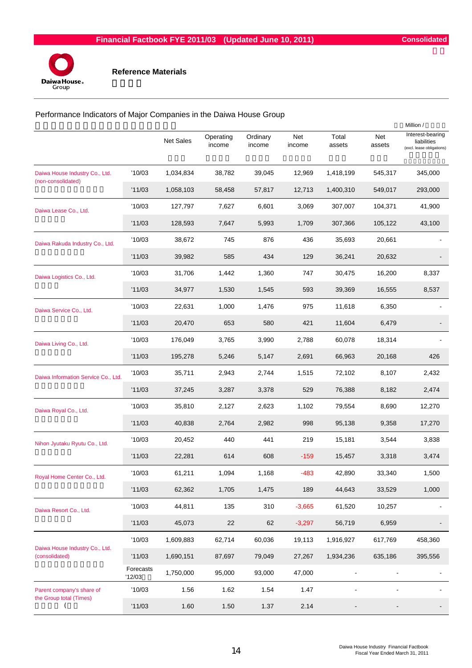

Performance Indicators of Major Companies in the Daiwa House Group

|                                                      |                     | Net Sales | Operating<br>income | Ordinary<br>income | Net<br>income | Total<br>assets | Net<br>assets  | Million /<br>Interest-bearing<br>liabilities<br>(excl. lease obligations) |
|------------------------------------------------------|---------------------|-----------|---------------------|--------------------|---------------|-----------------|----------------|---------------------------------------------------------------------------|
| Daiwa House Industry Co., Ltd.                       | '10/03              | 1,034,834 | 38,782              | 39,045             | 12,969        | 1,418,199       | 545,317        | 345,000                                                                   |
| (non-consolidated)                                   | '11/03              | 1,058,103 | 58,458              | 57,817             | 12,713        | 1,400,310       | 549,017        | 293,000                                                                   |
| Daiwa Lease Co., Ltd.                                | '10/03              | 127,797   | 7,627               | 6,601              | 3,069         | 307,007         | 104,371        | 41,900                                                                    |
|                                                      | '11/03              | 128,593   | 7,647               | 5,993              | 1,709         | 307,366         | 105,122        | 43,100                                                                    |
| Daiwa Rakuda Industry Co., Ltd.                      | '10/03              | 38,672    | 745                 | 876                | 436           | 35,693          | 20,661         |                                                                           |
|                                                      | '11/03              | 39,982    | 585                 | 434                | 129           | 36,241          | 20,632         |                                                                           |
| Daiwa Logistics Co., Ltd.                            | '10/03              | 31,706    | 1,442               | 1,360              | 747           | 30,475          | 16,200         | 8,337                                                                     |
|                                                      | '11/03              | 34,977    | 1,530               | 1,545              | 593           | 39,369          | 16,555         | 8,537                                                                     |
| Daiwa Service Co., Ltd.                              | '10/03              | 22,631    | 1,000               | 1,476              | 975           | 11,618          | 6,350          |                                                                           |
|                                                      | '11/03              | 20,470    | 653                 | 580                | 421           | 11,604          | 6,479          |                                                                           |
| Daiwa Living Co., Ltd.                               | '10/03              | 176,049   | 3,765               | 3,990              | 2,788         | 60,078          | 18,314         |                                                                           |
|                                                      | '11/03              | 195,278   | 5,246               | 5,147              | 2,691         | 66,963          | 20,168         | 426                                                                       |
| Daiwa Information Service Co., Ltd.                  | '10/03              | 35,711    | 2,943               | 2,744              | 1,515         | 72,102          | 8,107          | 2,432                                                                     |
|                                                      | '11/03              | 37,245    | 3,287               | 3,378              | 529           | 76,388          | 8,182          | 2,474                                                                     |
| Daiwa Royal Co., Ltd.                                | '10/03              | 35,810    | 2,127               | 2,623              | 1,102         | 79,554          | 8,690          | 12,270                                                                    |
|                                                      | '11/03              | 40,838    | 2,764               | 2,982              | 998           | 95,138          | 9,358          | 17,270                                                                    |
| Nihon Jyutaku Ryutu Co., Ltd.                        | '10/03              | 20,452    | 440                 | 441                | 219           | 15,181          | 3,544          | 3,838                                                                     |
|                                                      | '11/03              | 22,281    | 614                 | 608                | $-159$        | 15,457          | 3,318          | 3,474                                                                     |
| Royal Home Center Co., Ltd                           | '10/03              | 61,211    | 1,094               | 1,168              | $-483$        | 42,890          | 33,340         | 1,500                                                                     |
|                                                      | '11/03              | 62,362    | 1,705               | 1,475              | 189           | 44,643          | 33,529         | 1,000                                                                     |
| Daiwa Resort Co., Ltd.                               | '10/03              | 44,811    | 135                 | 310                | $-3,665$      | 61,520          | 10,257         |                                                                           |
|                                                      | '11/03              | 45,073    | 22                  | 62                 | $-3,297$      | 56,719          | 6,959          |                                                                           |
| Daiwa House Industry Co., Ltd.                       | '10/03              | 1,609,883 | 62,714              | 60,036             | 19,113        | 1,916,927       | 617,769        | 458,360                                                                   |
| (consolidated)                                       | '11/03              | 1,690,151 | 87,697              | 79,049             | 27,267        | 1,934,236       | 635,186        | 395,556                                                                   |
|                                                      | Forecasts<br>'12/03 | 1,750,000 | 95,000              | 93,000             | 47,000        | $\blacksquare$  | $\overline{a}$ |                                                                           |
| Parent company's share of<br>the Group total (Times) | '10/03              | 1.56      | 1.62                | 1.54               | 1.47          |                 |                |                                                                           |
| $\overline{\mathcal{L}}$                             | '11/03              | 1.60      | 1.50                | 1.37               | 2.14          |                 |                |                                                                           |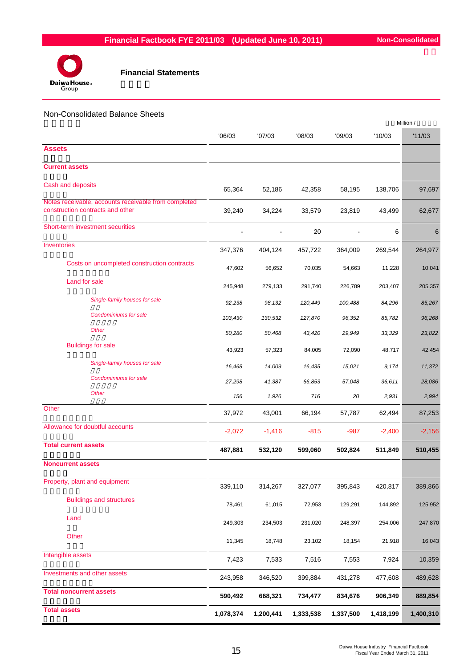

#### Non-Consolidated Balance Sheets

|                                                                                          |           |           |           |                | Million / |           |
|------------------------------------------------------------------------------------------|-----------|-----------|-----------|----------------|-----------|-----------|
|                                                                                          | '06/03    | '07/03    | '08/03    | '09/03         | '10/03    | '11/03    |
| <b>Assets</b>                                                                            |           |           |           |                |           |           |
| <b>Current assets</b>                                                                    |           |           |           |                |           |           |
| Cash and deposits                                                                        | 65,364    | 52,186    | 42,358    | 58,195         | 138,706   | 97,697    |
| Notes receivable, accounts receivable from completed<br>construction contracts and other | 39,240    | 34,224    | 33,579    | 23,819         | 43,499    | 62,677    |
| Short-term investment securities                                                         |           |           | 20        | $\blacksquare$ | 6         | 6         |
| Inventories                                                                              | 347,376   | 404,124   | 457,722   | 364,009        | 269,544   | 264,977   |
| Costs on uncompleted construction contracts                                              | 47,602    | 56,652    | 70,035    | 54,663         | 11,228    | 10,041    |
| Land for sale                                                                            | 245,948   | 279,133   | 291,740   | 226,789        | 203,407   | 205,357   |
| Single-family houses for sale                                                            | 92,238    | 98,132    | 120,449   | 100,488        | 84,296    | 85,267    |
| Condominiums for sale                                                                    | 103,430   | 130,532   | 127,870   | 96,352         | 85,782    | 96,268    |
| <b>Other</b>                                                                             | 50,280    | 50,468    | 43,420    | 29,949         | 33,329    | 23,822    |
| <b>Buildings for sale</b>                                                                | 43,923    | 57,323    | 84,005    | 72,090         | 48,717    | 42,454    |
| Single-family houses for sale                                                            | 16,468    | 14,009    | 16,435    | 15,021         | 9,174     | 11,372    |
| Condominiums for sale                                                                    | 27,298    | 41,387    | 66,853    | 57,048         | 36,611    | 28,086    |
| <b>Other</b>                                                                             | 156       | 1,926     | 716       | 20             | 2,931     | 2,994     |
| Other                                                                                    | 37,972    | 43,001    | 66,194    | 57,787         | 62,494    | 87,253    |
| Allowance for doubtful accounts                                                          | $-2,072$  | $-1,416$  | $-815$    | $-987$         | $-2,400$  | $-2,156$  |
| <b>Total current assets</b>                                                              | 487,881   | 532,120   | 599,060   | 502,824        | 511,849   | 510,455   |
| <b>Noncurrent assets</b>                                                                 |           |           |           |                |           |           |
| Property, plant and equipment                                                            | 339,110   | 314,267   | 327,077   | 395,843        | 420,817   | 389,866   |
| <b>Buildings and structures</b>                                                          | 78,461    | 61,015    | 72,953    | 129,291        | 144,892   | 125,952   |
| Land                                                                                     | 249,303   | 234,503   | 231,020   | 248,397        | 254,006   | 247,870   |
| Other                                                                                    | 11,345    | 18,748    | 23,102    | 18,154         | 21,918    | 16,043    |
| Intangible assets                                                                        | 7,423     | 7,533     | 7,516     | 7,553          | 7,924     | 10,359    |
| Investments and other assets                                                             |           |           |           |                |           |           |
| <b>Total noncurrent assets</b>                                                           | 243,958   | 346,520   | 399,884   | 431,278        | 477,608   | 489,628   |
|                                                                                          | 590,492   | 668,321   | 734,477   | 834,676        | 906,349   | 889,854   |
| <b>Total assets</b>                                                                      | 1,078,374 | 1,200,441 | 1,333,538 | 1,337,500      | 1,418,199 | 1,400,310 |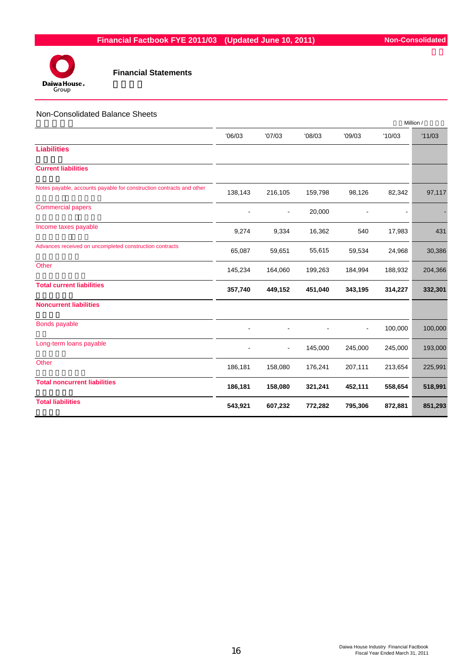

#### Non-Consolidated Balance Sheets

|                                                                      |         |                          |         |                |         | Million / |
|----------------------------------------------------------------------|---------|--------------------------|---------|----------------|---------|-----------|
|                                                                      | '06/03  | '07/03                   | '08/03  | '09/03         | '10/03  | '11/03    |
| <b>Liabilities</b>                                                   |         |                          |         |                |         |           |
| <b>Current liabilities</b>                                           |         |                          |         |                |         |           |
| Notes payable, accounts payable for construction contracts and other | 138,143 | 216,105                  | 159,798 | 98,126         | 82,342  | 97,117    |
| <b>Commercial papers</b>                                             |         | $\overline{\phantom{0}}$ | 20,000  |                |         |           |
| Income taxes payable                                                 | 9,274   | 9,334                    | 16,362  | 540            | 17,983  | 431       |
| Advances received on uncompleted construction contracts              | 65,087  | 59,651                   | 55,615  | 59,534         | 24,968  | 30,386    |
| Other                                                                | 145,234 | 164,060                  | 199,263 | 184,994        | 188,932 | 204,366   |
| <b>Total current liabilities</b>                                     | 357,740 | 449,152                  | 451,040 | 343,195        | 314,227 | 332,301   |
| <b>Noncurrent liabilities</b>                                        |         |                          |         |                |         |           |
| <b>Bonds payable</b>                                                 |         |                          |         | $\blacksquare$ | 100,000 | 100,000   |
| Long-term loans payable                                              |         | ۰                        | 145,000 | 245,000        | 245,000 | 193,000   |
| Other                                                                | 186,181 | 158,080                  | 176,241 | 207,111        | 213,654 | 225,991   |
| <b>Total noncurrent liabilities</b>                                  | 186,181 | 158,080                  | 321,241 | 452,111        | 558,654 | 518,991   |
| <b>Total liabilities</b>                                             | 543,921 | 607,232                  | 772,282 | 795,306        | 872,881 | 851,293   |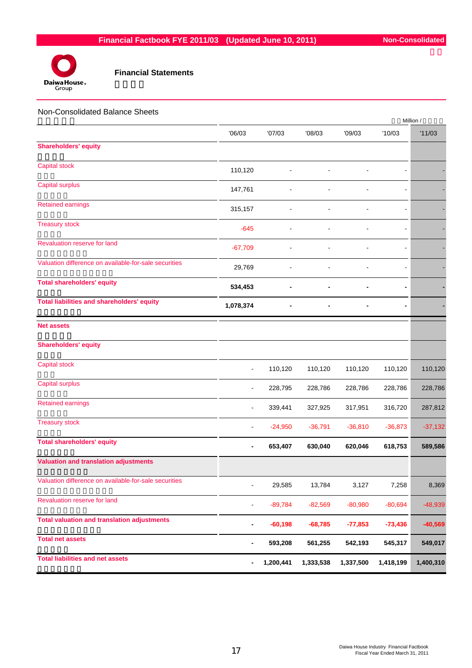

| Non-Consolidated Balance Sheets                       |                          |           |           |           |                | Million / |
|-------------------------------------------------------|--------------------------|-----------|-----------|-----------|----------------|-----------|
|                                                       | '06/03                   | '07/03    | '08/03    | '09/03    | '10/03         | '11/03    |
| <b>Shareholders' equity</b>                           |                          |           |           |           |                |           |
| <b>Capital stock</b>                                  | 110,120                  |           |           |           |                |           |
| <b>Capital surplus</b>                                | 147,761                  |           |           |           |                |           |
| <b>Retained earnings</b>                              | 315,157                  |           |           |           |                |           |
| <b>Treasury stock</b>                                 | $-645$                   |           |           |           |                |           |
| Revaluation reserve for land                          | $-67,709$                |           |           |           |                |           |
| Valuation difference on available-for-sale securities | 29,769                   |           |           |           | $\blacksquare$ |           |
| <b>Total shareholders' equity</b>                     | 534,453                  |           |           |           |                |           |
| <b>Total liabilities and shareholders' equity</b>     | 1,078,374                |           |           |           |                |           |
| <b>Net assets</b>                                     |                          |           |           |           |                |           |
| <b>Shareholders' equity</b>                           |                          |           |           |           |                |           |
| <b>Capital stock</b>                                  |                          | 110,120   | 110,120   | 110,120   | 110,120        | 110,120   |
| Capital surplus                                       |                          | 228,795   | 228,786   | 228,786   | 228,786        | 228,786   |
| <b>Retained earnings</b>                              |                          | 339,441   | 327,925   | 317,951   | 316,720        | 287,812   |
| <b>Treasury stock</b>                                 |                          | $-24,950$ | $-36,791$ | $-36,810$ | $-36,873$      | $-37,132$ |
| <b>Total shareholders' equity</b>                     | -                        | 653,407   | 630,040   | 620,046   | 618,753        | 589,586   |
| <b>Valuation and translation adjustments</b>          |                          |           |           |           |                |           |
| Valuation difference on available-for-sale securities | $\overline{\phantom{0}}$ | 29,585    | 13,784    | 3,127     | 7,258          | 8,369     |
| Revaluation reserve for land                          |                          | $-89,784$ | $-82,569$ | $-80,980$ | $-80,694$      | $-48,939$ |
| <b>Total valuation and translation adjustments</b>    | -                        | $-60,198$ | $-68,785$ | $-77,853$ | $-73,436$      | $-40,569$ |
| <b>Total net assets</b>                               |                          | 593,208   | 561,255   | 542,193   | 545,317        | 549,017   |
| <b>Total liabilities and net assets</b>               | -                        | 1,200,441 | 1,333,538 | 1,337,500 | 1,418,199      | 1,400,310 |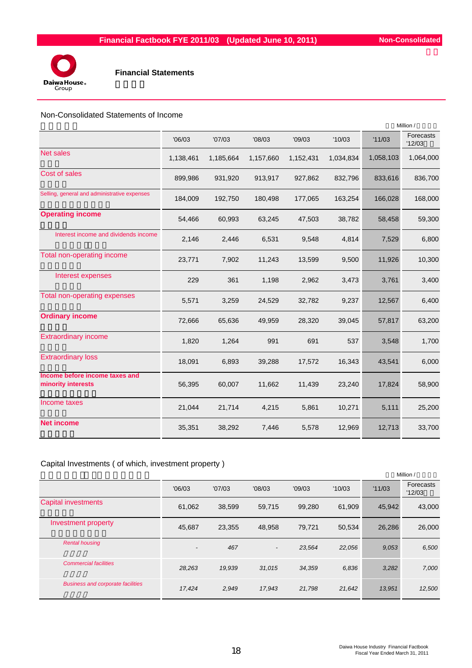

## Non-Consolidated Statements of Income

|                                                      |           |           |           |           |           |           | Million /           |
|------------------------------------------------------|-----------|-----------|-----------|-----------|-----------|-----------|---------------------|
|                                                      | '06/03    | '07/03    | '08/03    | '09/03    | '10/03    | '11/03    | Forecasts<br>'12/03 |
| <b>Net sales</b>                                     | 1,138,461 | 1,185,664 | 1,157,660 | 1,152,431 | 1,034,834 | 1,058,103 | 1,064,000           |
| Cost of sales                                        | 899,986   | 931,920   | 913,917   | 927,862   | 832,796   | 833,616   | 836,700             |
| Selling, general and administrative expenses         | 184,009   | 192,750   | 180,498   | 177,065   | 163,254   | 166,028   | 168,000             |
| <b>Operating income</b>                              | 54,466    | 60,993    | 63,245    | 47,503    | 38,782    | 58,458    | 59,300              |
| Interest income and dividends income                 | 2,146     | 2,446     | 6,531     | 9,548     | 4,814     | 7,529     | 6,800               |
| Total non-operating income                           | 23,771    | 7,902     | 11,243    | 13,599    | 9,500     | 11,926    | 10,300              |
| Interest expenses                                    | 229       | 361       | 1,198     | 2,962     | 3,473     | 3,761     | 3,400               |
| Total non-operating expenses                         | 5,571     | 3,259     | 24,529    | 32,782    | 9,237     | 12,567    | 6,400               |
| <b>Ordinary income</b>                               | 72,666    | 65,636    | 49,959    | 28,320    | 39,045    | 57,817    | 63,200              |
| <b>Extraordinary income</b>                          | 1,820     | 1,264     | 991       | 691       | 537       | 3,548     | 1,700               |
| <b>Extraordinary loss</b>                            | 18,091    | 6,893     | 39,288    | 17,572    | 16,343    | 43,541    | 6,000               |
| Income before income taxes and<br>minority interests | 56,395    | 60,007    | 11,662    | 11,439    | 23,240    | 17,824    | 58,900              |
| Income taxes                                         | 21,044    | 21,714    | 4,215     | 5,861     | 10,271    | 5,111     | 25,200              |
| <b>Net income</b>                                    | 35,351    | 38,292    | 7,446     | 5,578     | 12,969    | 12,713    | 33,700              |

# Capital Investments ( of which, investment property )

|                                          |                          |        |                          |        |        |        | Million /           |
|------------------------------------------|--------------------------|--------|--------------------------|--------|--------|--------|---------------------|
|                                          | '06/03                   | '07/03 | '08/03                   | '09/03 | '10/03 | '11/03 | Forecasts<br>'12/03 |
| <b>Capital investments</b>               | 61,062                   | 38.599 | 59,715                   | 99.280 | 61.909 | 45.942 | 43,000              |
| Investment property                      | 45,687                   | 23,355 | 48.958                   | 79,721 | 50.534 | 26,286 | 26,000              |
| <b>Rental housing</b>                    | $\overline{\phantom{0}}$ | 467    | $\overline{\phantom{a}}$ | 23,564 | 22,056 | 9.053  | 6,500               |
| <b>Commercial facilities</b>             | 28,263                   | 19,939 | 31,015                   | 34,359 | 6,836  | 3,282  | 7,000               |
| <b>Business and corporate facilities</b> | 17,424                   | 2,949  | 17,943                   | 21,798 | 21,642 | 13,951 | 12,500              |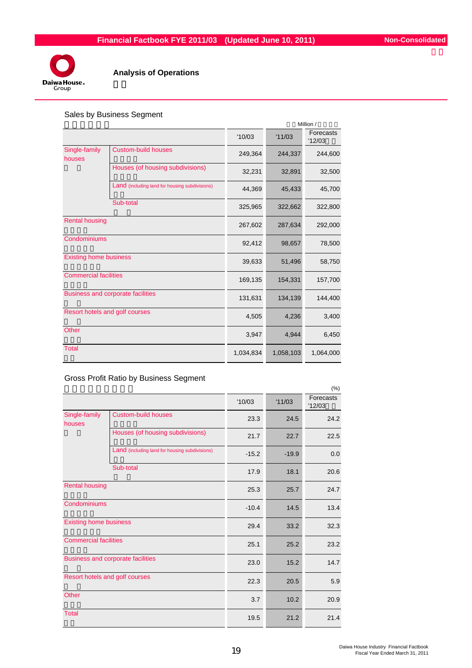

# **Analysis of Operations**

# Sales by Business Segment

|                               |                                                |           |           | Million /           |
|-------------------------------|------------------------------------------------|-----------|-----------|---------------------|
|                               |                                                | '10/03    | '11/03    | Forecasts<br>'12/03 |
| Single-family<br>houses       | <b>Custom-build houses</b>                     | 249,364   | 244,337   | 244,600             |
|                               | Houses (of housing subdivisions)               | 32,231    | 32,891    | 32,500              |
|                               | Land (including land for housing subdivisions) | 44,369    | 45,433    | 45,700              |
|                               | Sub-total                                      | 325,965   | 322,662   | 322,800             |
| <b>Rental housing</b>         |                                                | 267,602   | 287,634   | 292,000             |
| Condominiums                  |                                                | 92,412    | 98,657    | 78,500              |
| <b>Existing home business</b> |                                                | 39,633    | 51,496    | 58,750              |
| <b>Commercial facilities</b>  |                                                | 169,135   | 154,331   | 157,700             |
|                               | <b>Business and corporate facilities</b>       | 131,631   | 134,139   | 144,400             |
|                               | Resort hotels and golf courses                 | 4,505     | 4,236     | 3,400               |
| <b>Other</b>                  |                                                | 3,947     | 4,944     | 6,450               |
| <b>Total</b>                  |                                                | 1,034,834 | 1,058,103 | 1,064,000           |

Gross Profit Ratio by Business Segment

|                               |                                                |         |         | (% )                |
|-------------------------------|------------------------------------------------|---------|---------|---------------------|
|                               |                                                | '10/03  | '11/03  | Forecasts<br>'12/03 |
| Single-family<br>houses       | <b>Custom-build houses</b>                     | 23.3    | 24.5    | 24.2                |
|                               | Houses (of housing subdivisions)               | 21.7    | 22.7    | 22.5                |
|                               | Land (including land for housing subdivisions) | $-15.2$ | $-19.9$ | 0.0                 |
|                               | Sub-total                                      | 17.9    | 18.1    | 20.6                |
| <b>Rental housing</b>         |                                                | 25.3    | 25.7    | 24.7                |
| Condominiums                  |                                                | $-10.4$ | 14.5    | 13.4                |
| <b>Existing home business</b> |                                                | 29.4    | 33.2    | 32.3                |
| <b>Commercial facilities</b>  |                                                | 25.1    | 25.2    | 23.2                |
|                               | <b>Business and corporate facilities</b>       | 23.0    | 15.2    | 14.7                |
|                               | Resort hotels and golf courses                 | 22.3    | 20.5    | 5.9                 |
| <b>Other</b>                  |                                                | 3.7     | 10.2    | 20.9                |
| <b>Total</b>                  |                                                | 19.5    | 21.2    | 21.4                |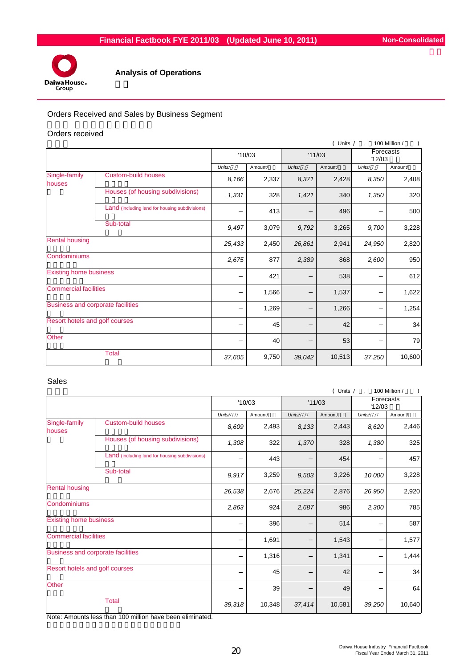

# **Analysis of Operations**

# Orders Received and Sales by Business Segment

#### Orders received

|                                          |                                                |                 |         |        | ( Units / |                     | 100 Million / |
|------------------------------------------|------------------------------------------------|-----------------|---------|--------|-----------|---------------------|---------------|
|                                          |                                                | '10/03          |         | '11/03 |           | Forecasts<br>'12/03 |               |
|                                          |                                                | Units/          | Amount/ | Units/ | Amount/   | Units/              | Amount/       |
| Single-family<br>houses                  | <b>Custom-build houses</b>                     | 8,166           | 2,337   | 8,371  | 2,428     | 8,350               | 2,408         |
|                                          | Houses (of housing subdivisions)               | 1,331           | 328     | 1,421  | 340       | 1,350               | 320           |
|                                          | Land (including land for housing subdivisions) |                 | 413     |        | 496       |                     | 500           |
|                                          | Sub-total                                      | 9,497           | 3,079   | 9,792  | 3,265     | 9,700               | 3,228         |
| <b>Rental housing</b>                    |                                                | 25,433<br>2,450 |         | 26,861 | 2,941     | 24,950              | 2,820         |
| Condominiums                             |                                                | 2,675           | 877     | 2,389  | 868       | 2,600               | 950           |
| <b>Existing home business</b>            |                                                |                 | 421     |        | 538       |                     | 612           |
| <b>Commercial facilities</b>             |                                                |                 | 1,566   |        | 1,537     |                     | 1,622         |
| <b>Business and corporate facilities</b> |                                                |                 | 1,269   |        | 1,266     |                     | 1,254         |
| Resort hotels and golf courses           |                                                |                 | 45      |        | 42        |                     | 34            |
| Other                                    |                                                |                 | 40      |        | 53        |                     | 79            |
|                                          | <b>Total</b>                                   | 37,605          | 9,750   | 39,042 | 10,513    | 37,250              | 10,600        |

#### Sales

|                                |                                                |        |         |                 | ( Units / |                     | 100 Million / |
|--------------------------------|------------------------------------------------|--------|---------|-----------------|-----------|---------------------|---------------|
|                                |                                                | '10/03 |         | '11/03          |           | Forecasts<br>'12/03 |               |
|                                |                                                | Units/ | Amount/ | Units/          | Amount/   | Units/              | Amount/       |
| Single-family<br>houses        | <b>Custom-build houses</b>                     | 8,609  | 2,493   | 8,133           | 2,443     | 8,620               | 2,446         |
|                                | Houses (of housing subdivisions)               | 1,308  | 322     | 1,370           | 328       | 1,380               | 325           |
|                                | Land (including land for housing subdivisions) |        | 443     |                 | 454       |                     | 457           |
|                                | Sub-total                                      | 9,917  | 3,259   | 9,503           | 3,226     | 10,000              | 3,228         |
| <b>Rental housing</b>          |                                                | 26,538 | 2,676   | 2,876<br>25,224 |           | 26,950              | 2,920         |
| Condominiums                   |                                                | 2,863  | 924     | 2,687           | 986       | 2,300               | 785           |
| <b>Existing home business</b>  |                                                |        | 396     |                 | 514       |                     | 587           |
| <b>Commercial facilities</b>   |                                                |        | 1,691   |                 | 1,543     |                     | 1,577         |
|                                | Business and corporate facilities              |        | 1,316   |                 | 1,341     |                     | 1,444         |
| Resort hotels and golf courses |                                                |        | 45      |                 | 42        |                     | 34            |
| Other                          |                                                |        | 39      |                 | 49        |                     | 64            |
|                                | <b>Total</b>                                   | 39,318 | 10,348  | 37,414          | 10,581    | 39,250              | 10,640        |

Note: Amounts less than 100 million have been eliminated.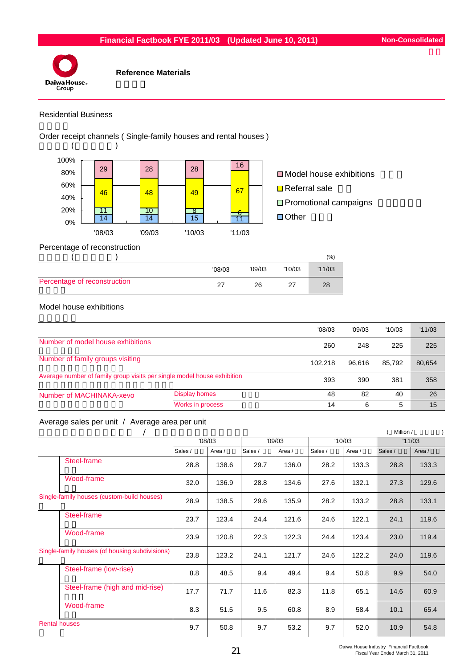

# Residential Business

Order receipt channels ( Single-family houses and rental houses )



#### Percentage of reconstruction

|                              |        |        |        | (%)    |
|------------------------------|--------|--------|--------|--------|
|                              | '08/03 | '09/03 | '10/03 | '11/03 |
| Percentage of reconstruction |        | 26     |        | 28     |

# Model house exhibitions

|                                                                         |                      | '08/03  | '09/03 | '10/03 | '11/03 |
|-------------------------------------------------------------------------|----------------------|---------|--------|--------|--------|
| Number of model house exhibitions                                       |                      | 260     | 248    | 225    | 225    |
| Number of family groups visiting                                        |                      | 102.218 | 96.616 | 85.792 | 80,654 |
| Average number of family group visits per single model house exhibition |                      | 393     | 390    | 381    | 358    |
| Number of MACHINAKA-xevo                                                | <b>Display homes</b> | 48      | 82     | 40     | 26     |
|                                                                         | Works in process     | 14      | 6      | 5      | 15     |

# Average sales per unit / Average area per unit

|                                                |         |        |         |        |         |        | Million / |        |
|------------------------------------------------|---------|--------|---------|--------|---------|--------|-----------|--------|
|                                                |         | '08/03 |         | '09/03 |         | '10/03 |           | '11/03 |
|                                                | Sales / | Area / | Sales / | Area / | Sales / | Area / | Sales /   | Area / |
| Steel-frame                                    | 28.8    | 138.6  | 29.7    | 136.0  | 28.2    | 133.3  | 28.8      | 133.3  |
| Wood-frame                                     | 32.0    | 136.9  | 28.8    | 134.6  | 27.6    | 132.1  | 27.3      | 129.6  |
| Single-family houses (custom-build houses)     | 28.9    | 138.5  | 29.6    | 135.9  | 28.2    | 133.2  | 28.8      | 133.1  |
| Steel-frame                                    | 23.7    | 123.4  | 24.4    | 121.6  | 24.6    | 122.1  | 24.1      | 119.6  |
| Wood-frame                                     | 23.9    | 120.8  | 22.3    | 122.3  | 24.4    | 123.4  | 23.0      | 119.4  |
| Single-family houses (of housing subdivisions) | 23.8    | 123.2  | 24.1    | 121.7  | 24.6    | 122.2  | 24.0      | 119.6  |
| Steel-frame (low-rise)                         | 8.8     | 48.5   | 9.4     | 49.4   | 9.4     | 50.8   | 9.9       | 54.0   |
| Steel-frame (high and mid-rise)                | 17.7    | 71.7   | 11.6    | 82.3   | 11.8    | 65.1   | 14.6      | 60.9   |
| Wood-frame                                     | 8.3     | 51.5   | 9.5     | 60.8   | 8.9     | 58.4   | 10.1      | 65.4   |
| <b>Rental houses</b>                           | 9.7     | 50.8   | 9.7     | 53.2   | 9.7     | 52.0   | 10.9      | 54.8   |